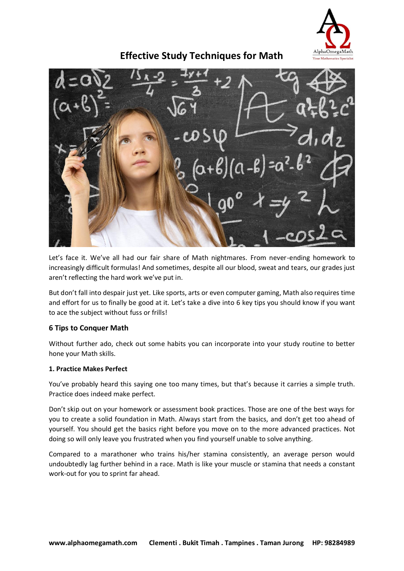

# **Effective Study Techniques for Math**

Let's face it. We've all had our fair share of Math nightmares. From never-ending homework to increasingly difficult formulas! And sometimes, despite all our blood, sweat and tears, our grades just aren't reflecting the hard work we've put in.

But don't fall into despair just yet. Like sports, arts or even computer gaming, Math also requires time and effort for us to finally be good at it. Let's take a dive into 6 key tips you should know if you want to ace the subject without fuss or frills!

## **6 Tips to Conquer Math**

Without further ado, check out some habits you can incorporate into your study routine to better hone your Math skills.

## **1. Practice Makes Perfect**

You've probably heard this saying one too many times, but that's because it carries a simple truth. Practice does indeed make perfect.

Don't skip out on your homework or assessment book practices. Those are one of the best ways for you to create a solid foundation in Math. Always start from the basics, and don't get too ahead of yourself. You should get the basics right before you move on to the more advanced practices. Not doing so will only leave you frustrated when you find yourself unable to solve anything.

Compared to a marathoner who trains his/her stamina consistently, an average person would undoubtedly lag further behind in a race. Math is like your muscle or stamina that needs a constant work-out for you to sprint far ahead.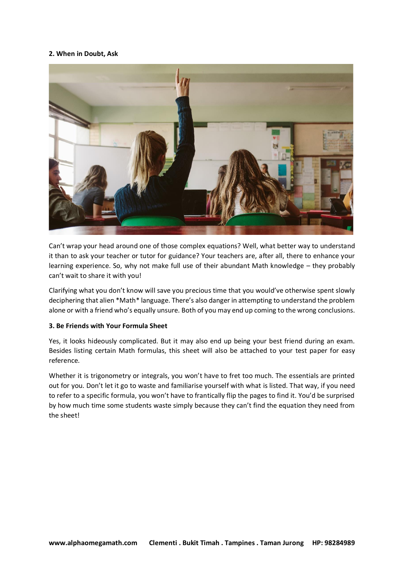## **2. When in Doubt, Ask**



Can't wrap your head around one of those complex equations? Well, what better way to understand it than to ask your teacher or tutor for guidance? Your teachers are, after all, there to enhance your learning experience. So, why not make full use of their abundant Math knowledge – they probably can't wait to share it with you!

Clarifying what you don't know will save you precious time that you would've otherwise spent slowly deciphering that alien \*Math\* language. There's also danger in attempting to understand the problem alone or with a friend who's equally unsure. Both of you may end up coming to the wrong conclusions.

## **3. Be Friends with Your Formula Sheet**

Yes, it looks hideously complicated. But it may also end up being your best friend during an exam. Besides listing certain Math formulas, this sheet will also be attached to your test paper for easy reference.

Whether it is trigonometry or integrals, you won't have to fret too much. The essentials are printed out for you. Don't let it go to waste and familiarise yourself with what is listed. That way, if you need to refer to a specific formula, you won't have to frantically flip the pages to find it. You'd be surprised by how much time some students waste simply because they can't find the equation they need from the sheet!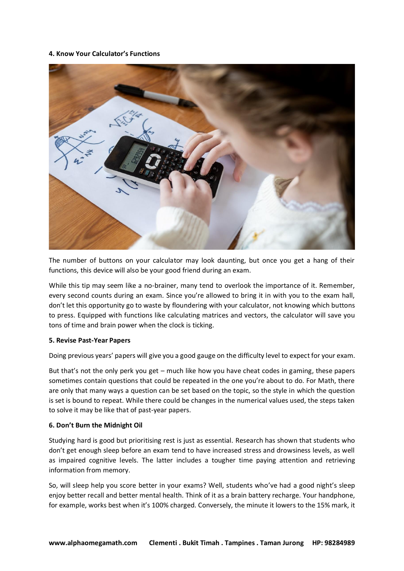#### **4. Know Your Calculator's Functions**



The number of buttons on your calculator may look daunting, but once you get a hang of their functions, this device will also be your good friend during an exam.

While this tip may seem like a no-brainer, many tend to overlook the importance of it. Remember, every second counts during an exam. Since you're allowed to bring it in with you to the exam hall, don't let this opportunity go to waste by floundering with your calculator, not knowing which buttons to press. Equipped with functions like calculating matrices and vectors, the calculator will save you tons of time and brain power when the clock is ticking.

#### **5. Revise Past-Year Papers**

Doing previous years' papers will give you a good gauge on the difficulty level to expect for your exam.

But that's not the only perk you get – much like how you have cheat codes in gaming, these papers sometimes contain questions that could be repeated in the one you're about to do. For Math, there are only that many ways a question can be set based on the topic, so the style in which the question is set is bound to repeat. While there could be changes in the numerical values used, the steps taken to solve it may be like that of past-year papers.

#### **6. Don't Burn the Midnight Oil**

Studying hard is good but prioritising rest is just as essential. Research has shown that students who don't get enough sleep before an exam tend to have increased stress and drowsiness levels, as well as impaired cognitive levels. The latter includes a tougher time paying attention and retrieving information from memory.

So, will sleep help you score better in your exams? Well, students who've had a good night's sleep enjoy better recall and better mental health. Think of it as a brain battery recharge. Your handphone, for example, works best when it's 100% charged. Conversely, the minute it lowers to the 15% mark, it